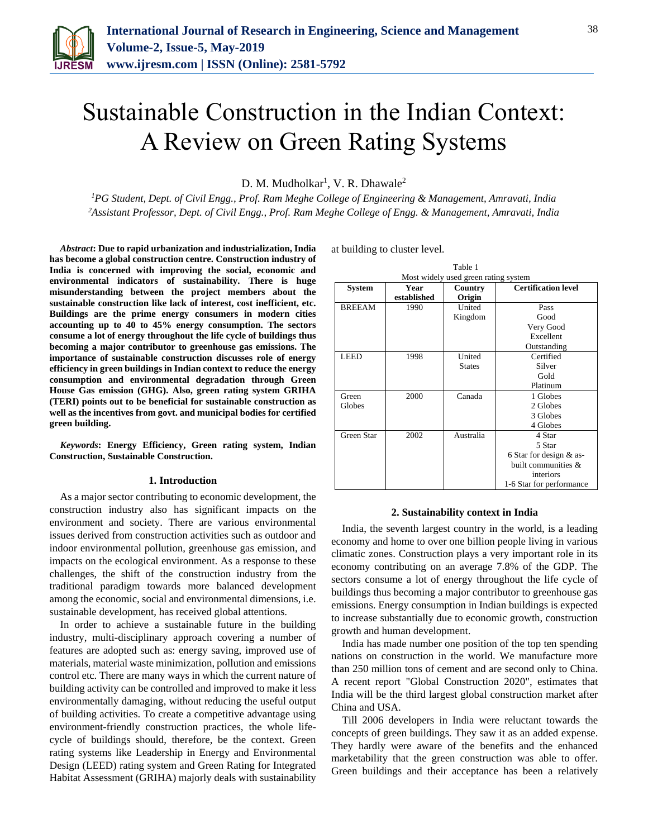

# Sustainable Construction in the Indian Context: A Review on Green Rating Systems

D. M. Mudholkar<sup>1</sup>, V. R. Dhawale<sup>2</sup>

*<sup>1</sup>PG Student, Dept. of Civil Engg., Prof. Ram Meghe College of Engineering & Management, Amravati, India <sup>2</sup>Assistant Professor, Dept. of Civil Engg., Prof. Ram Meghe College of Engg. & Management, Amravati, India*

*Abstract***: Due to rapid urbanization and industrialization, India has become a global construction centre. Construction industry of India is concerned with improving the social, economic and environmental indicators of sustainability. There is huge misunderstanding between the project members about the sustainable construction like lack of interest, cost inefficient, etc. Buildings are the prime energy consumers in modern cities accounting up to 40 to 45% energy consumption. The sectors consume a lot of energy throughout the life cycle of buildings thus becoming a major contributor to greenhouse gas emissions. The importance of sustainable construction discusses role of energy efficiency in green buildings in Indian context to reduce the energy consumption and environmental degradation through Green House Gas emission (GHG). Also, green rating system GRIHA (TERI) points out to be beneficial for sustainable construction as well as the incentives from govt. and municipal bodies for certified green building.**

*Keywords***: Energy Efficiency, Green rating system, Indian Construction, Sustainable Construction.**

#### **1. Introduction**

As a major sector contributing to economic development, the construction industry also has significant impacts on the environment and society. There are various environmental issues derived from construction activities such as outdoor and indoor environmental pollution, greenhouse gas emission, and impacts on the ecological environment. As a response to these challenges, the shift of the construction industry from the traditional paradigm towards more balanced development among the economic, social and environmental dimensions, i.e. sustainable development, has received global attentions.

In order to achieve a sustainable future in the building industry, multi-disciplinary approach covering a number of features are adopted such as: energy saving, improved use of materials, material waste minimization, pollution and emissions control etc. There are many ways in which the current nature of building activity can be controlled and improved to make it less environmentally damaging, without reducing the useful output of building activities. To create a competitive advantage using environment-friendly construction practices, the whole lifecycle of buildings should, therefore, be the context. Green rating systems like Leadership in Energy and Environmental Design (LEED) rating system and Green Rating for Integrated Habitat Assessment (GRIHA) majorly deals with sustainability

at building to cluster level.

| Table 1                              |             |               |                            |  |
|--------------------------------------|-------------|---------------|----------------------------|--|
| Most widely used green rating system |             |               |                            |  |
| System                               | Year        | Country       | <b>Certification level</b> |  |
|                                      | established | Origin        |                            |  |
| <b>BREEAM</b>                        | 1990        | United        | Pass                       |  |
|                                      |             | Kingdom       | Good                       |  |
|                                      |             |               | Very Good                  |  |
|                                      |             |               | Excellent                  |  |
|                                      |             |               | Outstanding                |  |
| <b>LEED</b>                          | 1998        | United        | Certified                  |  |
|                                      |             | <b>States</b> | Silver                     |  |
|                                      |             |               | Gold                       |  |
|                                      |             |               | Platinum                   |  |
| Green                                | 2000        | Canada        | 1 Globes                   |  |
| Globes                               |             |               | 2 Globes                   |  |
|                                      |             |               | 3 Globes                   |  |
|                                      |             |               | 4 Globes                   |  |
| Green Star                           | 2002        | Australia     | 4 Star                     |  |
|                                      |             |               | 5 Star                     |  |
|                                      |             |               | 6 Star for design & as-    |  |
|                                      |             |               | built communities $\&$     |  |
|                                      |             |               | interiors                  |  |
|                                      |             |               | 1-6 Star for performance   |  |

#### **2. Sustainability context in India**

India, the seventh largest country in the world, is a leading economy and home to over one billion people living in various climatic zones. Construction plays a very important role in its economy contributing on an average 7.8% of the GDP. The sectors consume a lot of energy throughout the life cycle of buildings thus becoming a major contributor to greenhouse gas emissions. Energy consumption in Indian buildings is expected to increase substantially due to economic growth, construction growth and human development.

India has made number one position of the top ten spending nations on construction in the world. We manufacture more than 250 million tons of cement and are second only to China. A recent report "Global Construction 2020", estimates that India will be the third largest global construction market after China and USA.

Till 2006 developers in India were reluctant towards the concepts of green buildings. They saw it as an added expense. They hardly were aware of the benefits and the enhanced marketability that the green construction was able to offer. Green buildings and their acceptance has been a relatively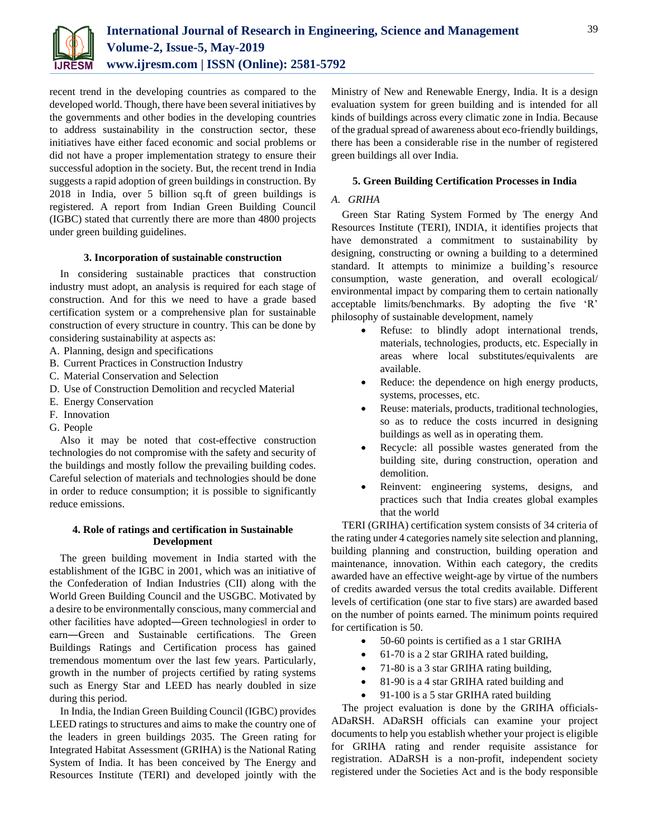

recent trend in the developing countries as compared to the developed world. Though, there have been several initiatives by the governments and other bodies in the developing countries to address sustainability in the construction sector, these initiatives have either faced economic and social problems or did not have a proper implementation strategy to ensure their successful adoption in the society. But, the recent trend in India suggests a rapid adoption of green buildings in construction. By 2018 in India, over 5 billion sq.ft of green buildings is registered. A report from Indian Green Building Council (IGBC) stated that currently there are more than 4800 projects under green building guidelines.

## **3. Incorporation of sustainable construction**

In considering sustainable practices that construction industry must adopt, an analysis is required for each stage of construction. And for this we need to have a grade based certification system or a comprehensive plan for sustainable construction of every structure in country. This can be done by considering sustainability at aspects as:

- A. Planning, design and specifications
- B. Current Practices in Construction Industry
- C. Material Conservation and Selection
- D. Use of Construction Demolition and recycled Material
- E. Energy Conservation
- F. Innovation
- G. People

Also it may be noted that cost-effective construction technologies do not compromise with the safety and security of the buildings and mostly follow the prevailing building codes. Careful selection of materials and technologies should be done in order to reduce consumption; it is possible to significantly reduce emissions.

# **4. Role of ratings and certification in Sustainable Development**

The green building movement in India started with the establishment of the IGBC in 2001, which was an initiative of the Confederation of Indian Industries (CII) along with the World Green Building Council and the USGBC. Motivated by a desire to be environmentally conscious, many commercial and other facilities have adopted―Green technologies‖ in order to earn―Green and Sustainable certifications. The Green Buildings Ratings and Certification process has gained tremendous momentum over the last few years. Particularly, growth in the number of projects certified by rating systems such as Energy Star and LEED has nearly doubled in size during this period.

In India, the Indian Green Building Council (IGBC) provides LEED ratings to structures and aims to make the country one of the leaders in green buildings 2035. The Green rating for Integrated Habitat Assessment (GRIHA) is the National Rating System of India. It has been conceived by The Energy and Resources Institute (TERI) and developed jointly with the

Ministry of New and Renewable Energy, India. It is a design evaluation system for green building and is intended for all kinds of buildings across every climatic zone in India. Because of the gradual spread of awareness about eco-friendly buildings, there has been a considerable rise in the number of registered green buildings all over India.

## **5. Green Building Certification Processes in India**

#### *A. GRIHA*

Green Star Rating System Formed by The energy And Resources Institute (TERI), INDIA, it identifies projects that have demonstrated a commitment to sustainability by designing, constructing or owning a building to a determined standard. It attempts to minimize a building's resource consumption, waste generation, and overall ecological/ environmental impact by comparing them to certain nationally acceptable limits/benchmarks. By adopting the five 'R' philosophy of sustainable development, namely

- Refuse: to blindly adopt international trends, materials, technologies, products, etc. Especially in areas where local substitutes/equivalents are available.
- Reduce: the dependence on high energy products, systems, processes, etc.
- Reuse: materials, products, traditional technologies, so as to reduce the costs incurred in designing buildings as well as in operating them.
- Recycle: all possible wastes generated from the building site, during construction, operation and demolition.
- Reinvent: engineering systems, designs, and practices such that India creates global examples that the world

TERI (GRIHA) certification system consists of 34 criteria of the rating under 4 categories namely site selection and planning, building planning and construction, building operation and maintenance, innovation. Within each category, the credits awarded have an effective weight-age by virtue of the numbers of credits awarded versus the total credits available. Different levels of certification (one star to five stars) are awarded based on the number of points earned. The minimum points required for certification is 50.

- 50-60 points is certified as a 1 star GRIHA
- 61-70 is a 2 star GRIHA rated building,
- 71-80 is a 3 star GRIHA rating building,
- 81-90 is a 4 star GRIHA rated building and
- 91-100 is a 5 star GRIHA rated building

The project evaluation is done by the GRIHA officials-ADaRSH. ADaRSH officials can examine your project documents to help you establish whether your project is eligible for GRIHA rating and render requisite assistance for registration. ADaRSH is a non-profit, independent society registered under the Societies Act and is the body responsible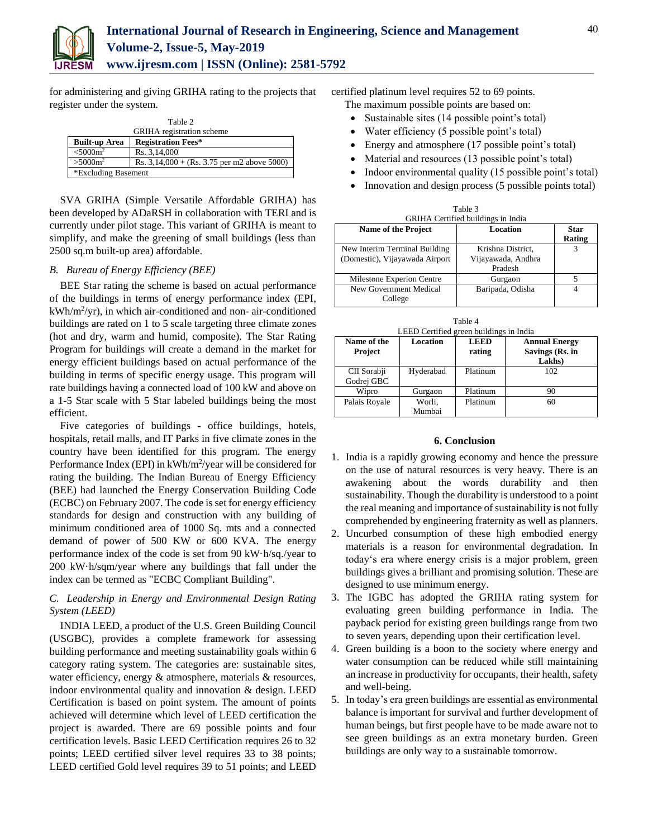

for administering and giving GRIHA rating to the projects that register under the system.

| Table 2                          |                                               |  |  |
|----------------------------------|-----------------------------------------------|--|--|
| <b>GRIHA</b> registration scheme |                                               |  |  |
| <b>Built-up Area</b>             | <b>Registration Fees*</b>                     |  |  |
| < 5000 m <sup>2</sup>            | Rs. 3.14,000                                  |  |  |
| $> 5000m^2$                      | Rs. $3,14,000 +$ (Rs. 3.75 per m2 above 5000) |  |  |
| *Excluding Basement              |                                               |  |  |

SVA GRIHA (Simple Versatile Affordable GRIHA) has been developed by ADaRSH in collaboration with TERI and is currently under pilot stage. This variant of GRIHA is meant to simplify, and make the greening of small buildings (less than 2500 sq.m built-up area) affordable.

## *B. Bureau of Energy Efficiency (BEE)*

BEE Star rating the scheme is based on actual performance of the buildings in terms of energy performance index (EPI, kWh/m<sup>2</sup> /yr), in which air-conditioned and non- air-conditioned buildings are rated on 1 to 5 scale targeting three climate zones (hot and dry, warm and humid, composite). The Star Rating Program for buildings will create a demand in the market for energy efficient buildings based on actual performance of the building in terms of specific energy usage. This program will rate buildings having a connected load of 100 kW and above on a 1-5 Star scale with 5 Star labeled buildings being the most efficient.

Five categories of buildings - office buildings, hotels, hospitals, retail malls, and IT Parks in five climate zones in the country have been identified for this program. The energy Performance Index (EPI) in kWh/m<sup>2</sup>/year will be considered for rating the building. The Indian Bureau of Energy Efficiency (BEE) had launched the Energy Conservation Building Code (ECBC) on February 2007. The code is set for energy efficiency standards for design and construction with any building of minimum conditioned area of 1000 Sq. mts and a connected demand of power of 500 KW or 600 KVA. The energy performance index of the code is set from 90 kW·h/sq./year to 200 kW·h/sqm/year where any buildings that fall under the index can be termed as "ECBC Compliant Building".

# *C. Leadership in Energy and Environmental Design Rating System (LEED)*

INDIA LEED, a product of the U.S. Green Building Council (USGBC), provides a complete framework for assessing building performance and meeting sustainability goals within 6 category rating system. The categories are: sustainable sites, water efficiency, energy & atmosphere, materials & resources, indoor environmental quality and innovation & design. LEED Certification is based on point system. The amount of points achieved will determine which level of LEED certification the project is awarded. There are 69 possible points and four certification levels. Basic LEED Certification requires 26 to 32 points; LEED certified silver level requires 33 to 38 points; LEED certified Gold level requires 39 to 51 points; and LEED certified platinum level requires 52 to 69 points.

- The maximum possible points are based on:
- Sustainable sites (14 possible point's total)
- Water efficiency (5 possible point's total)
- Energy and atmosphere (17 possible point's total)
- Material and resources (13 possible point's total)
- Indoor environmental quality (15 possible point's total)
- Innovation and design process (5 possible points total)

| GRIHA Certified buildings in India                              |                                                    |                       |  |
|-----------------------------------------------------------------|----------------------------------------------------|-----------------------|--|
| <b>Name of the Project</b>                                      | Location                                           | <b>Star</b><br>Rating |  |
| New Interim Terminal Building<br>(Domestic), Vijayawada Airport | Krishna District,<br>Vijayawada, Andhra<br>Pradesh |                       |  |
| Milestone Experion Centre                                       | Gurgaon                                            |                       |  |
| New Government Medical<br>College                               | Baripada, Odisha                                   |                       |  |

Table 3

|  | Table 4 |                                         |  |
|--|---------|-----------------------------------------|--|
|  |         | LEED Certified green buildings in India |  |

| Name of the<br>Project    | Location         | <b>LEED</b><br>rating | <b>Annual Energy</b><br>Savings (Rs. in<br>Lakhs) |
|---------------------------|------------------|-----------------------|---------------------------------------------------|
| CII Sorabji<br>Godrej GBC | Hyderabad        | Platinum              | 102                                               |
| Wipro                     | Gurgaon          | Platinum              | 90                                                |
| Palais Royale             | Worli,<br>Mumbai | Platinum              | 60                                                |

#### **6. Conclusion**

- 1. India is a rapidly growing economy and hence the pressure on the use of natural resources is very heavy. There is an awakening about the words durability and then sustainability. Though the durability is understood to a point the real meaning and importance of sustainability is not fully comprehended by engineering fraternity as well as planners.
- 2. Uncurbed consumption of these high embodied energy materials is a reason for environmental degradation. In today's era where energy crisis is a major problem, green buildings gives a brilliant and promising solution. These are designed to use minimum energy.
- 3. The IGBC has adopted the GRIHA rating system for evaluating green building performance in India. The payback period for existing green buildings range from two to seven years, depending upon their certification level.
- 4. Green building is a boon to the society where energy and water consumption can be reduced while still maintaining an increase in productivity for occupants, their health, safety and well-being.
- 5. In today's era green buildings are essential as environmental balance is important for survival and further development of human beings, but first people have to be made aware not to see green buildings as an extra monetary burden. Green buildings are only way to a sustainable tomorrow.